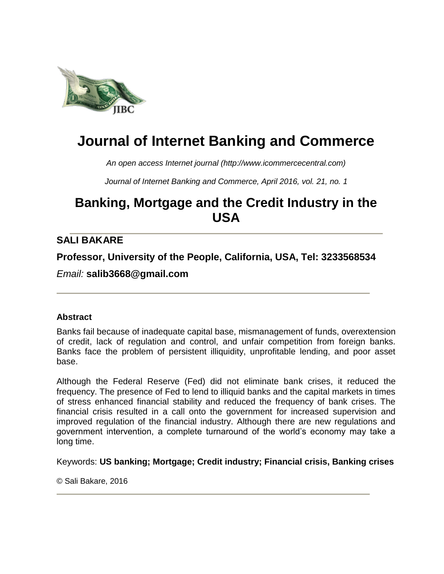

# **Journal of Internet Banking and Commerce**

*An open access Internet journal (http://www.icommercecentral.com)*

*Journal of Internet Banking and Commerce, April 2016, vol. 21, no. 1*

## **Banking, Mortgage and the Credit Industry in the USA**

## **SALI BAKARE**

**Professor, University of the People, California, USA, Tel: 3233568534**

*Email:* **salib3668@gmail.com**

#### **Abstract**

Banks fail because of inadequate capital base, mismanagement of funds, overextension of credit, lack of regulation and control, and unfair competition from foreign banks. Banks face the problem of persistent illiquidity, unprofitable lending, and poor asset base.

Although the Federal Reserve (Fed) did not eliminate bank crises, it reduced the frequency. The presence of Fed to lend to illiquid banks and the capital markets in times of stress enhanced financial stability and reduced the frequency of bank crises. The financial crisis resulted in a call onto the government for increased supervision and improved regulation of the financial industry. Although there are new regulations and government intervention, a complete turnaround of the world's economy may take a long time.

Keywords: **US banking; Mortgage; Credit industry; Financial crisis, Banking crises**

© Sali Bakare, 2016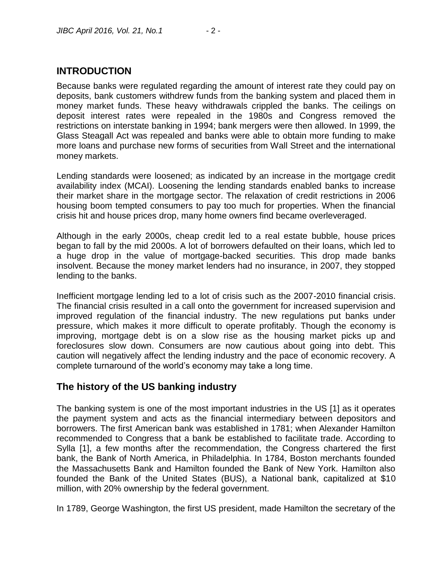## **INTRODUCTION**

Because banks were regulated regarding the amount of interest rate they could pay on deposits, bank customers withdrew funds from the banking system and placed them in money market funds. These heavy withdrawals crippled the banks. The ceilings on deposit interest rates were repealed in the 1980s and Congress removed the restrictions on interstate banking in 1994; bank mergers were then allowed. In 1999, the Glass Steagall Act was repealed and banks were able to obtain more funding to make more loans and purchase new forms of securities from Wall Street and the international money markets.

Lending standards were loosened; as indicated by an increase in the mortgage credit availability index (MCAI). Loosening the lending standards enabled banks to increase their market share in the mortgage sector. The relaxation of credit restrictions in 2006 housing boom tempted consumers to pay too much for properties. When the financial crisis hit and house prices drop, many home owners find became overleveraged.

Although in the early 2000s, cheap credit led to a real estate bubble, house prices began to fall by the mid 2000s. A lot of borrowers defaulted on their loans, which led to a huge drop in the value of mortgage-backed securities. This drop made banks insolvent. Because the money market lenders had no insurance, in 2007, they stopped lending to the banks.

Inefficient mortgage lending led to a lot of crisis such as the 2007-2010 financial crisis. The financial crisis resulted in a call onto the government for increased supervision and improved regulation of the financial industry. The new regulations put banks under pressure, which makes it more difficult to operate profitably. Though the economy is improving, mortgage debt is on a slow rise as the housing market picks up and foreclosures slow down. Consumers are now cautious about going into debt. This caution will negatively affect the lending industry and the pace of economic recovery. A complete turnaround of the world's economy may take a long time.

## **The history of the US banking industry**

The banking system is one of the most important industries in the US [1] as it operates the payment system and acts as the financial intermediary between depositors and borrowers. The first American bank was established in 1781; when Alexander Hamilton recommended to Congress that a bank be established to facilitate trade. According to Sylla [1], a few months after the recommendation, the Congress chartered the first bank, the Bank of North America, in Philadelphia. In 1784, Boston merchants founded the Massachusetts Bank and Hamilton founded the Bank of New York. Hamilton also founded the Bank of the United States (BUS), a National bank, capitalized at \$10 million, with 20% ownership by the federal government.

In 1789, George Washington, the first US president, made Hamilton the secretary of the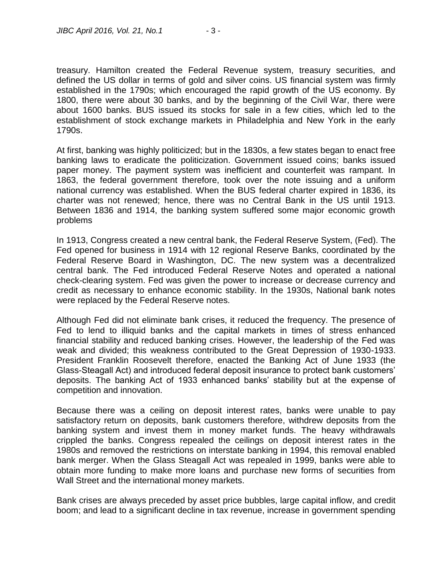treasury. Hamilton created the Federal Revenue system, treasury securities, and defined the US dollar in terms of gold and silver coins. US financial system was firmly established in the 1790s; which encouraged the rapid growth of the US economy. By 1800, there were about 30 banks, and by the beginning of the Civil War, there were about 1600 banks. BUS issued its stocks for sale in a few cities, which led to the establishment of stock exchange markets in Philadelphia and New York in the early 1790s.

At first, banking was highly politicized; but in the 1830s, a few states began to enact free banking laws to eradicate the politicization. Government issued coins; banks issued paper money. The payment system was inefficient and counterfeit was rampant. In 1863, the federal government therefore, took over the note issuing and a uniform national currency was established. When the BUS federal charter expired in 1836, its charter was not renewed; hence, there was no Central Bank in the US until 1913. Between 1836 and 1914, the banking system suffered some major economic growth problems

In 1913, Congress created a new central bank, the Federal Reserve System, (Fed). The Fed opened for business in 1914 with 12 regional Reserve Banks, coordinated by the Federal Reserve Board in Washington, DC. The new system was a decentralized central bank. The Fed introduced Federal Reserve Notes and operated a national check-clearing system. Fed was given the power to increase or decrease currency and credit as necessary to enhance economic stability. In the 1930s, National bank notes were replaced by the Federal Reserve notes.

Although Fed did not eliminate bank crises, it reduced the frequency. The presence of Fed to lend to illiquid banks and the capital markets in times of stress enhanced financial stability and reduced banking crises. However, the leadership of the Fed was weak and divided; this weakness contributed to the Great Depression of 1930-1933. President Franklin Roosevelt therefore, enacted the Banking Act of June 1933 (the Glass-Steagall Act) and introduced federal deposit insurance to protect bank customers' deposits. The banking Act of 1933 enhanced banks' stability but at the expense of competition and innovation.

Because there was a ceiling on deposit interest rates, banks were unable to pay satisfactory return on deposits, bank customers therefore, withdrew deposits from the banking system and invest them in money market funds. The heavy withdrawals crippled the banks. Congress repealed the ceilings on deposit interest rates in the 1980s and removed the restrictions on interstate banking in 1994, this removal enabled bank merger. When the Glass Steagall Act was repealed in 1999, banks were able to obtain more funding to make more loans and purchase new forms of securities from Wall Street and the international money markets.

Bank crises are always preceded by asset price bubbles, large capital inflow, and credit boom; and lead to a significant decline in tax revenue, increase in government spending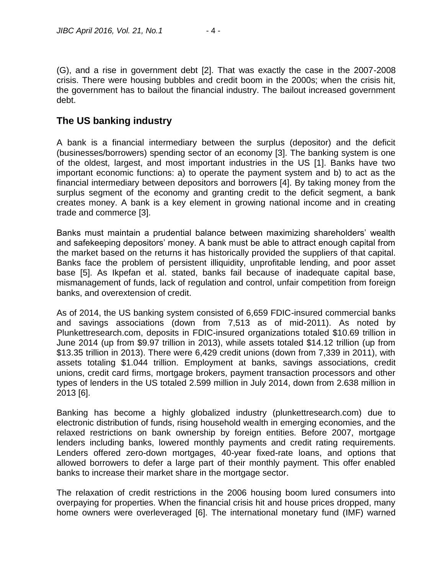(G), and a rise in government debt [2]. That was exactly the case in the 2007-2008 crisis. There were housing bubbles and credit boom in the 2000s; when the crisis hit, the government has to bailout the financial industry. The bailout increased government debt.

### **The US banking industry**

A bank is a financial intermediary between the surplus (depositor) and the deficit (businesses/borrowers) spending sector of an economy [3]. The banking system is one of the oldest, largest, and most important industries in the US [1]. Banks have two important economic functions: a) to operate the payment system and b) to act as the financial intermediary between depositors and borrowers [4]. By taking money from the surplus segment of the economy and granting credit to the deficit segment, a bank creates money. A bank is a key element in growing national income and in creating trade and commerce [3].

Banks must maintain a prudential balance between maximizing shareholders' wealth and safekeeping depositors' money. A bank must be able to attract enough capital from the market based on the returns it has historically provided the suppliers of that capital. Banks face the problem of persistent illiquidity, unprofitable lending, and poor asset base [5]. As Ikpefan et al. stated, banks fail because of inadequate capital base, mismanagement of funds, lack of regulation and control, unfair competition from foreign banks, and overextension of credit.

As of 2014, the US banking system consisted of 6,659 FDIC-insured commercial banks and savings associations (down from 7,513 as of mid-2011). As noted by Plunkettresearch.com, deposits in FDIC-insured organizations totaled \$10.69 trillion in June 2014 (up from \$9.97 trillion in 2013), while assets totaled \$14.12 trillion (up from \$13.35 trillion in 2013). There were 6,429 credit unions (down from 7,339 in 2011), with assets totaling \$1.044 trillion. Employment at banks, savings associations, credit unions, credit card firms, mortgage brokers, payment transaction processors and other types of lenders in the US totaled 2.599 million in July 2014, down from 2.638 million in 2013 [6].

Banking has become a highly globalized industry (plunkettresearch.com) due to electronic distribution of funds, rising household wealth in emerging economies, and the relaxed restrictions on bank ownership by foreign entities. Before 2007, mortgage lenders including banks, lowered monthly payments and credit rating requirements. Lenders offered zero-down mortgages, 40-year fixed-rate loans, and options that allowed borrowers to defer a large part of their monthly payment. This offer enabled banks to increase their market share in the mortgage sector.

The relaxation of credit restrictions in the 2006 housing boom lured consumers into overpaying for properties. When the financial crisis hit and house prices dropped, many home owners were overleveraged [6]. The international monetary fund (IMF) warned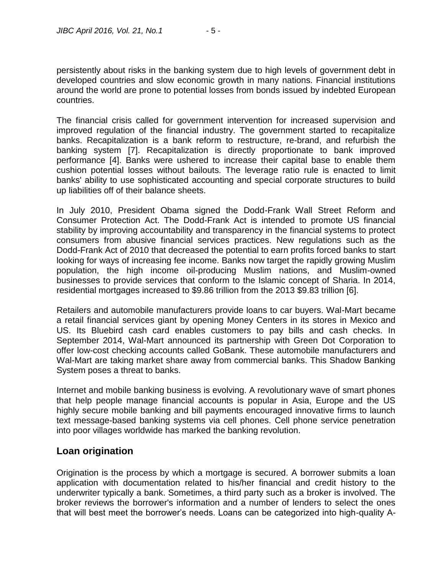persistently about risks in the banking system due to high levels of government debt in developed countries and slow economic growth in many nations. Financial institutions around the world are prone to potential losses from bonds issued by indebted European countries.

The financial crisis called for government intervention for increased supervision and improved regulation of the financial industry. The government started to recapitalize banks. Recapitalization is a bank reform to restructure, re-brand, and refurbish the banking system [7]. Recapitalization is directly proportionate to bank improved performance [4]. Banks were ushered to increase their capital base to enable them cushion potential losses without bailouts. The leverage ratio rule is enacted to limit banks' ability to use sophisticated accounting and special corporate structures to build up liabilities off of their balance sheets.

In July 2010, President Obama signed the Dodd-Frank Wall Street Reform and Consumer Protection Act. The Dodd-Frank Act is intended to promote US financial stability by improving accountability and transparency in the financial systems to protect consumers from abusive financial services practices. New regulations such as the Dodd-Frank Act of 2010 that decreased the potential to earn profits forced banks to start looking for ways of increasing fee income. Banks now target the rapidly growing Muslim population, the high income oil-producing Muslim nations, and Muslim-owned businesses to provide services that conform to the Islamic concept of Sharia. In 2014, residential mortgages increased to \$9.86 trillion from the 2013 \$9.83 trillion [6].

Retailers and automobile manufacturers provide loans to car buyers. Wal-Mart became a retail financial services giant by opening Money Centers in its stores in Mexico and US. Its Bluebird cash card enables customers to pay bills and cash checks. In September 2014, Wal-Mart announced its partnership with Green Dot Corporation to offer low-cost checking accounts called GoBank. These automobile manufacturers and Wal-Mart are taking market share away from commercial banks. This Shadow Banking System poses a threat to banks.

Internet and mobile banking business is evolving. A revolutionary wave of smart phones that help people manage financial accounts is popular in Asia, Europe and the US highly secure mobile banking and bill payments encouraged innovative firms to launch text message-based banking systems via cell phones. Cell phone service penetration into poor villages worldwide has marked the banking revolution.

## **Loan origination**

Origination is the process by which a mortgage is secured. A borrower submits a loan application with documentation related to his/her financial and credit history to the underwriter typically a bank. Sometimes, a third party such as a broker is involved. The broker reviews the borrower's information and a number of lenders to select the ones that will best meet the borrower's needs. Loans can be categorized into high-quality A-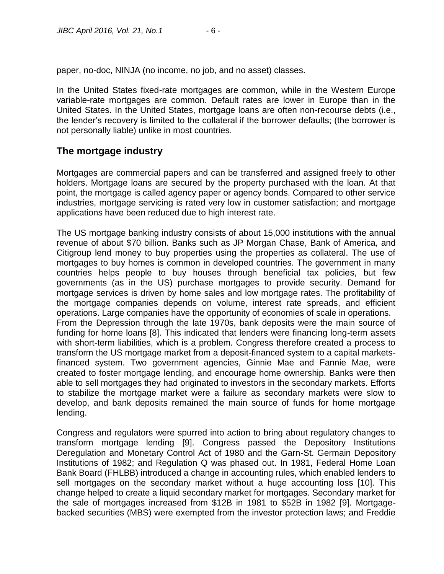paper, no-doc, NINJA (no income, no job, and no asset) classes.

In the United States fixed-rate mortgages are common, while in the Western Europe variable-rate mortgages are common. Default rates are lower in Europe than in the United States. In the United States, mortgage loans are often non-recourse debts (i.e., the lender's recovery is limited to the collateral if the borrower defaults; (the borrower is not personally liable) unlike in most countries.

## **The mortgage industry**

Mortgages are commercial papers and can be transferred and assigned freely to other holders. Mortgage loans are secured by the property purchased with the loan. At that point, the mortgage is called agency paper or agency bonds. Compared to other service industries, mortgage servicing is rated very low in customer satisfaction; and mortgage applications have been reduced due to high interest rate.

The US mortgage banking industry consists of about 15,000 institutions with the annual revenue of about \$70 billion. Banks such as JP Morgan Chase, Bank of America, and Citigroup lend money to buy properties using the properties as collateral. The use of mortgages to buy homes is common in developed countries. The government in many countries helps people to buy houses through beneficial tax policies, but few governments (as in the US) purchase mortgages to provide security. Demand for mortgage services is driven by home sales and low mortgage rates. The profitability of the mortgage companies depends on volume, interest rate spreads, and efficient operations. Large companies have the opportunity of economies of scale in operations. From the Depression through the late 1970s, bank deposits were the main source of funding for home loans [8]. This indicated that lenders were financing long-term assets with short-term liabilities, which is a problem. Congress therefore created a process to transform the US mortgage market from a deposit-financed system to a capital marketsfinanced system. Two government agencies, Ginnie Mae and Fannie Mae, were created to foster mortgage lending, and encourage home ownership. Banks were then able to sell mortgages they had originated to investors in the secondary markets. Efforts to stabilize the mortgage market were a failure as secondary markets were slow to develop, and bank deposits remained the main source of funds for home mortgage lending.

Congress and regulators were spurred into action to bring about regulatory changes to transform mortgage lending [9]. Congress passed the Depository Institutions Deregulation and Monetary Control Act of 1980 and the Garn-St. Germain Depository Institutions of 1982; and Regulation Q was phased out. In 1981, Federal Home Loan Bank Board (FHLBB) introduced a change in accounting rules, which enabled lenders to sell mortgages on the secondary market without a huge accounting loss [10]. This change helped to create a liquid secondary market for mortgages. Secondary market for the sale of mortgages increased from \$12B in 1981 to \$52B in 1982 [9]. Mortgagebacked securities (MBS) were exempted from the investor protection laws; and Freddie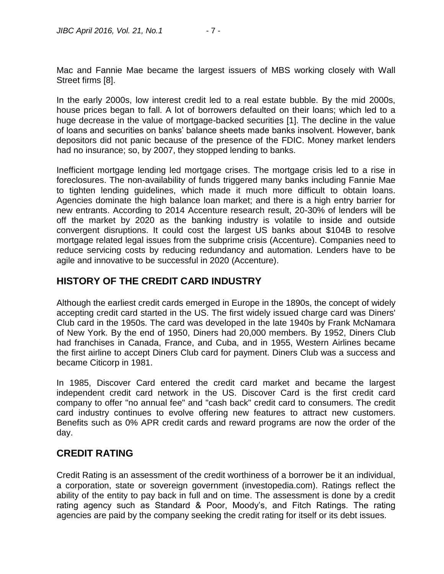Mac and Fannie Mae became the largest issuers of MBS working closely with Wall Street firms [8].

In the early 2000s, low interest credit led to a real estate bubble. By the mid 2000s, house prices began to fall. A lot of borrowers defaulted on their loans; which led to a huge decrease in the value of mortgage-backed securities [1]. The decline in the value of loans and securities on banks' balance sheets made banks insolvent. However, bank depositors did not panic because of the presence of the FDIC. Money market lenders had no insurance; so, by 2007, they stopped lending to banks.

Inefficient mortgage lending led mortgage crises. The mortgage crisis led to a rise in foreclosures. The non-availability of funds triggered many banks including Fannie Mae to tighten lending guidelines, which made it much more difficult to obtain loans. Agencies dominate the high balance loan market; and there is a high entry barrier for new entrants. According to 2014 Accenture research result, 20-30% of lenders will be off the market by 2020 as the banking industry is volatile to inside and outside convergent disruptions. It could cost the largest US banks about \$104B to resolve mortgage related legal issues from the subprime crisis (Accenture). Companies need to reduce servicing costs by reducing redundancy and automation. Lenders have to be agile and innovative to be successful in 2020 (Accenture).

#### **HISTORY OF THE CREDIT CARD INDUSTRY**

Although the earliest credit cards emerged in Europe in the 1890s, the concept of widely accepting credit card started in the US. The first widely issued charge card was Diners' Club card in the 1950s. The card was developed in the late 1940s by Frank McNamara of New York. By the end of 1950, Diners had 20,000 members. By 1952, Diners Club had franchises in Canada, France, and Cuba, and in 1955, Western Airlines became the first airline to accept Diners Club card for payment. Diners Club was a success and became Citicorp in 1981.

In 1985, Discover Card entered the credit card market and became the largest independent credit card network in the US. Discover Card is the first credit card company to offer "no annual fee" and "cash back" credit card to consumers. The credit card industry continues to evolve offering new features to attract new customers. Benefits such as 0% APR credit cards and reward programs are now the order of the day.

#### **CREDIT RATING**

Credit Rating is an assessment of the credit worthiness of a borrower be it an individual, a corporation, state or sovereign government (investopedia.com). Ratings reflect the ability of the entity to pay back in full and on time. The assessment is done by a credit rating agency such as Standard & Poor, Moody's, and Fitch Ratings. The rating agencies are paid by the company seeking the credit rating for itself or its debt issues.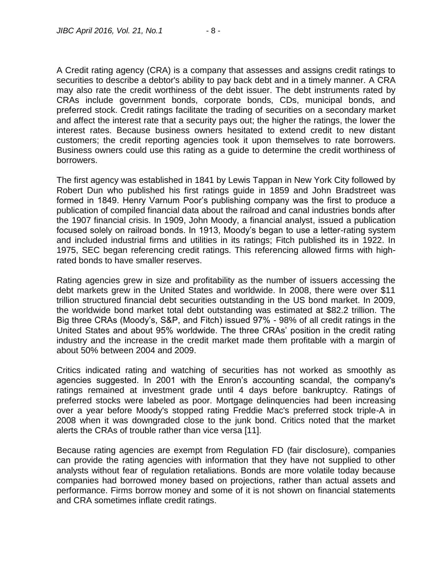A Credit rating agency (CRA) is a company that assesses and assigns credit ratings to securities to describe a debtor's ability to pay back debt and in a timely manner. A CRA may also rate the credit worthiness of the debt issuer. The debt instruments rated by CRAs include government bonds, corporate bonds, CDs, municipal bonds, and preferred stock. Credit ratings facilitate the trading of securities on a secondary market and affect the interest rate that a security pays out; the higher the ratings, the lower the interest rates. Because business owners hesitated to extend credit to new distant customers; the credit reporting agencies took it upon themselves to rate borrowers. Business owners could use this rating as a guide to determine the credit worthiness of borrowers.

The first agency was established in 1841 by Lewis Tappan in New York City followed by Robert Dun who published his first ratings guide in 1859 and John Bradstreet was formed in 1849. Henry Varnum Poor's publishing company was the first to produce a publication of compiled financial data about the railroad and canal industries bonds after the 1907 financial crisis. In 1909, John Moody, a financial analyst, issued a publication focused solely on railroad bonds. In 1913, Moody's began to use a letter-rating system and included industrial firms and utilities in its ratings; Fitch published its in 1922. In 1975, SEC began referencing credit ratings. This referencing allowed firms with highrated bonds to have smaller reserves.

Rating agencies grew in size and profitability as the number of issuers accessing the debt markets grew in the United States and worldwide. In 2008, there were over \$11 trillion structured financial debt securities outstanding in the US bond market. In 2009, the worldwide bond market total debt outstanding was estimated at \$82.2 trillion. The Big three CRAs (Moody's, S&P, and Fitch) issued 97% - 98% of all credit ratings in the United States and about 95% worldwide. The three CRAs' position in the credit rating industry and the increase in the credit market made them profitable with a margin of about 50% between 2004 and 2009.

Critics indicated rating and watching of securities has not worked as smoothly as agencies suggested. In 2001 with the Enron's accounting scandal, the company's ratings remained at investment grade until 4 days before bankruptcy. Ratings of preferred stocks were labeled as poor. Mortgage delinquencies had been increasing over a year before Moody's stopped rating Freddie Mac's preferred stock triple-A in 2008 when it was downgraded close to the junk bond. Critics noted that the market alerts the CRAs of trouble rather than vice versa [11].

Because rating agencies are exempt from Regulation FD (fair disclosure), companies can provide the rating agencies with information that they have not supplied to other analysts without fear of regulation retaliations. Bonds are more volatile today because companies had borrowed money based on projections, rather than actual assets and performance. Firms borrow money and some of it is not shown on financial statements and CRA sometimes inflate credit ratings.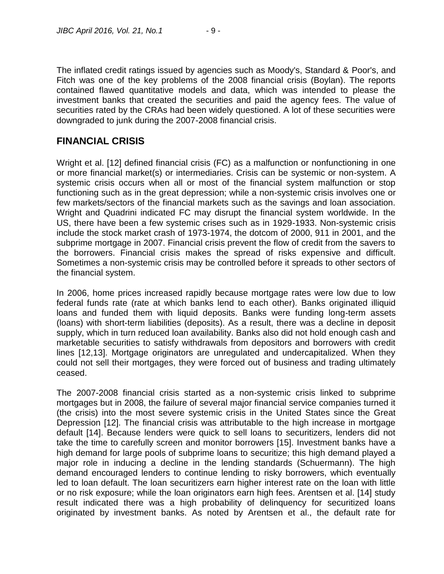The inflated credit ratings issued by agencies such as Moody's, Standard & Poor's, and Fitch was one of the key problems of the 2008 financial crisis (Boylan). The reports contained flawed quantitative models and data, which was intended to please the investment banks that created the securities and paid the agency fees. The value of securities rated by the CRAs had been widely questioned. A lot of these securities were downgraded to junk during the 2007-2008 financial crisis.

## **FINANCIAL CRISIS**

Wright et al. [12] defined financial crisis (FC) as a malfunction or nonfunctioning in one or more financial market(s) or intermediaries. Crisis can be systemic or non-system. A systemic crisis occurs when all or most of the financial system malfunction or stop functioning such as in the great depression; while a non-systemic crisis involves one or few markets/sectors of the financial markets such as the savings and loan association. Wright and Quadrini indicated FC may disrupt the financial system worldwide. In the US, there have been a few systemic crises such as in 1929-1933. Non-systemic crisis include the stock market crash of 1973-1974, the dotcom of 2000, 911 in 2001, and the subprime mortgage in 2007. Financial crisis prevent the flow of credit from the savers to the borrowers. Financial crisis makes the spread of risks expensive and difficult. Sometimes a non-systemic crisis may be controlled before it spreads to other sectors of the financial system.

In 2006, home prices increased rapidly because mortgage rates were low due to low federal funds rate (rate at which banks lend to each other). Banks originated illiquid loans and funded them with liquid deposits. Banks were funding long-term assets (loans) with short-term liabilities (deposits). As a result, there was a decline in deposit supply, which in turn reduced loan availability. Banks also did not hold enough cash and marketable securities to satisfy withdrawals from depositors and borrowers with credit lines [12,13]. Mortgage originators are unregulated and undercapitalized. When they could not sell their mortgages, they were forced out of business and trading ultimately ceased.

The 2007-2008 financial crisis started as a non-systemic crisis linked to subprime mortgages but in 2008, the failure of several major financial service companies turned it (the crisis) into the most severe systemic crisis in the United States since the Great Depression [12]. The financial crisis was attributable to the high increase in mortgage default [14]. Because lenders were quick to sell loans to securitizers, lenders did not take the time to carefully screen and monitor borrowers [15]. Investment banks have a high demand for large pools of subprime loans to securitize; this high demand played a major role in inducing a decline in the lending standards (Schuermann). The high demand encouraged lenders to continue lending to risky borrowers, which eventually led to loan default. The loan securitizers earn higher interest rate on the loan with little or no risk exposure; while the loan originators earn high fees. Arentsen et al. [14] study result indicated there was a high probability of delinquency for securitized loans originated by investment banks. As noted by Arentsen et al., the default rate for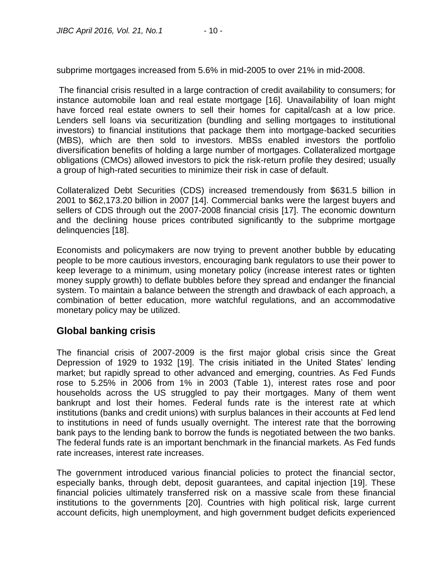subprime mortgages increased from 5.6% in mid-2005 to over 21% in mid-2008.

The financial crisis resulted in a large contraction of credit availability to consumers; for instance automobile loan and real estate mortgage [16]. Unavailability of loan might have forced real estate owners to sell their homes for capital/cash at a low price. Lenders sell loans via securitization (bundling and selling mortgages to institutional investors) to financial institutions that package them into mortgage-backed securities (MBS), which are then sold to investors. MBSs enabled investors the portfolio diversification benefits of holding a large number of mortgages. Collateralized mortgage obligations (CMOs) allowed investors to pick the risk-return profile they desired; usually a group of high-rated securities to minimize their risk in case of default.

Collateralized Debt Securities (CDS) increased tremendously from \$631.5 billion in 2001 to \$62,173.20 billion in 2007 [14]. Commercial banks were the largest buyers and sellers of CDS through out the 2007-2008 financial crisis [17]. The economic downturn and the declining house prices contributed significantly to the subprime mortgage delinquencies [18].

Economists and policymakers are now trying to prevent another bubble by educating people to be more cautious investors, encouraging bank regulators to use their power to keep leverage to a minimum, using monetary policy (increase interest rates or tighten money supply growth) to deflate bubbles before they spread and endanger the financial system. To maintain a balance between the strength and drawback of each approach, a combination of better education, more watchful regulations, and an accommodative monetary policy may be utilized.

#### **Global banking crisis**

The financial crisis of 2007-2009 is the first major global crisis since the Great Depression of 1929 to 1932 [19]. The crisis initiated in the United States' lending market; but rapidly spread to other advanced and emerging, countries. As Fed Funds rose to 5.25% in 2006 from 1% in 2003 (Table 1), interest rates rose and poor households across the US struggled to pay their mortgages. Many of them went bankrupt and lost their homes. Federal funds rate is the interest rate at which institutions (banks and credit unions) with surplus balances in their accounts at Fed lend to institutions in need of funds usually overnight. The interest rate that the borrowing bank pays to the lending bank to borrow the funds is negotiated between the two banks. The federal funds rate is an important benchmark in the financial markets. As Fed funds rate increases, interest rate increases.

The government introduced various financial policies to protect the financial sector, especially banks, through debt, deposit guarantees, and capital injection [19]. These financial policies ultimately transferred risk on a massive scale from these financial institutions to the governments [20]. Countries with high political risk, large current account deficits, high unemployment, and high government budget deficits experienced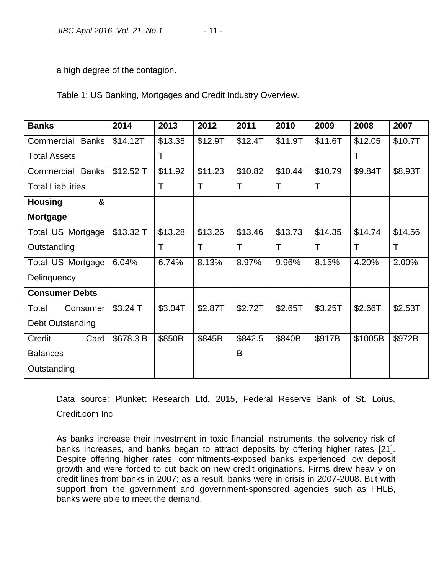a high degree of the contagion.

Table 1: US Banking, Mortgages and Credit Industry Overview.

| <b>Banks</b>               | 2014       | 2013    | 2012    | 2011    | 2010    | 2009    | 2008    | 2007    |
|----------------------------|------------|---------|---------|---------|---------|---------|---------|---------|
| Commercial<br><b>Banks</b> | \$14.12T   | \$13.35 | \$12.9T | \$12.4T | \$11.9T | \$11.6T | \$12.05 | \$10.7T |
| <b>Total Assets</b>        |            | Т       |         |         |         |         | Т       |         |
| <b>Commercial Banks</b>    | $$12.52$ T | \$11.92 | \$11.23 | \$10.82 | \$10.44 | \$10.79 | \$9.84T | \$8.93T |
| <b>Total Liabilities</b>   |            | Τ       | Τ       | Т       | Τ       | Τ       |         |         |
| &<br><b>Housing</b>        |            |         |         |         |         |         |         |         |
| <b>Mortgage</b>            |            |         |         |         |         |         |         |         |
| Total US Mortgage          | \$13.32 T  | \$13.28 | \$13.26 | \$13.46 | \$13.73 | \$14.35 | \$14.74 | \$14.56 |
| Outstanding                |            | Τ       | T       | Τ       | т       | Τ       | Τ       | T       |
| Total US Mortgage          | 6.04%      | 6.74%   | 8.13%   | 8.97%   | 9.96%   | 8.15%   | 4.20%   | 2.00%   |
| Delinquency                |            |         |         |         |         |         |         |         |
| <b>Consumer Debts</b>      |            |         |         |         |         |         |         |         |
| Total<br>Consumer          | $$3.24$ T  | \$3.04T | \$2.87T | \$2.72T | \$2.65T | \$3.25T | \$2.66T | \$2.53T |
| Debt Outstanding           |            |         |         |         |         |         |         |         |
| Credit<br>Card             | \$678.3 B  | \$850B  | \$845B  | \$842.5 | \$840B  | \$917B  | \$1005B | \$972B  |
| <b>Balances</b>            |            |         |         | B       |         |         |         |         |
| Outstanding                |            |         |         |         |         |         |         |         |

Data source: Plunkett Research Ltd. 2015, Federal Reserve Bank of St. Loius, Credit.com Inc

As banks increase their investment in toxic financial instruments, the solvency risk of banks increases, and banks began to attract deposits by offering higher rates [21]. Despite offering higher rates, commitments-exposed banks experienced low deposit growth and were forced to cut back on new credit originations. Firms drew heavily on credit lines from banks in 2007; as a result, banks were in crisis in 2007-2008. But with support from the government and government-sponsored agencies such as FHLB, banks were able to meet the demand.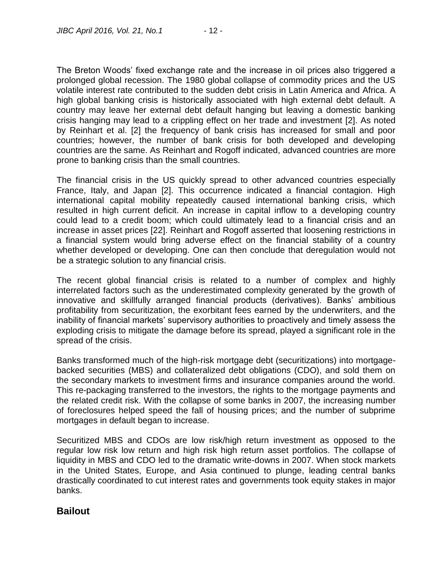The Breton Woods' fixed exchange rate and the increase in oil prices also triggered a prolonged global recession. The 1980 global collapse of commodity prices and the US volatile interest rate contributed to the sudden debt crisis in Latin America and Africa. A high global banking crisis is historically associated with high external debt default. A country may leave her external debt default hanging but leaving a domestic banking crisis hanging may lead to a crippling effect on her trade and investment [2]. As noted by Reinhart et al. [2] the frequency of bank crisis has increased for small and poor countries; however, the number of bank crisis for both developed and developing countries are the same. As Reinhart and Rogoff indicated, advanced countries are more prone to banking crisis than the small countries.

The financial crisis in the US quickly spread to other advanced countries especially France, Italy, and Japan [2]. This occurrence indicated a financial contagion. High international capital mobility repeatedly caused international banking crisis, which resulted in high current deficit. An increase in capital inflow to a developing country could lead to a credit boom; which could ultimately lead to a financial crisis and an increase in asset prices [22]. Reinhart and Rogoff asserted that loosening restrictions in a financial system would bring adverse effect on the financial stability of a country whether developed or developing. One can then conclude that deregulation would not be a strategic solution to any financial crisis.

The recent global financial crisis is related to a number of complex and highly interrelated factors such as the underestimated complexity generated by the growth of innovative and skillfully arranged financial products (derivatives). Banks' ambitious profitability from securitization, the exorbitant fees earned by the underwriters, and the inability of financial markets' supervisory authorities to proactively and timely assess the exploding crisis to mitigate the damage before its spread, played a significant role in the spread of the crisis.

Banks transformed much of the high-risk mortgage debt (securitizations) into mortgagebacked securities (MBS) and collateralized debt obligations (CDO), and sold them on the secondary markets to investment firms and insurance companies around the world. This re-packaging transferred to the investors, the rights to the mortgage payments and the related credit risk. With the collapse of some banks in 2007, the increasing number of foreclosures helped speed the fall of housing prices; and the number of subprime mortgages in default began to increase.

Securitized MBS and CDOs are low risk/high return investment as opposed to the regular low risk low return and high risk high return asset portfolios. The collapse of liquidity in MBS and CDO led to the dramatic write-downs in 2007. When stock markets in the United States, Europe, and Asia continued to plunge, leading central banks drastically coordinated to cut interest rates and governments took equity stakes in major banks.

#### **Bailout**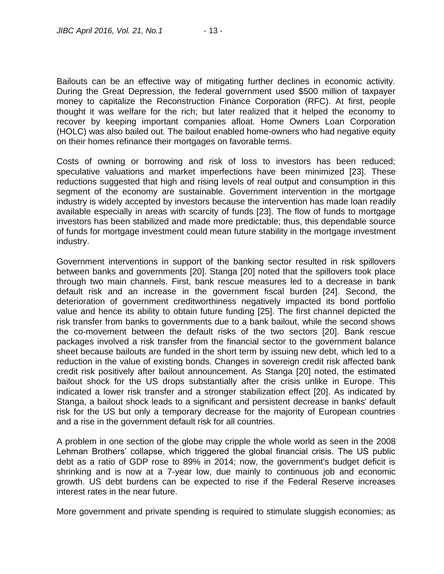Bailouts can be an effective way of mitigating further declines in economic activity. During the Great Depression, the federal government used \$500 million of taxpayer money to capitalize the Reconstruction Finance Corporation (RFC). At first, people thought it was welfare for the rich; but later realized that it helped the economy to recover by keeping important companies afloat. Home Owners Loan Corporation (HOLC) was also bailed out. The bailout enabled home-owners who had negative equity on their homes refinance their mortgages on favorable terms.

Costs of owning or borrowing and risk of loss to investors has been reduced; speculative valuations and market imperfections have been minimized [23]. These reductions suggested that high and rising levels of real output and consumption in this segment of the economy are sustainable. Government intervention in the mortgage industry is widely accepted by investors because the intervention has made loan readily available especially in areas with scarcity of funds [23]. The flow of funds to mortgage investors has been stabilized and made more predictable; thus, this dependable source of funds for mortgage investment could mean future stability in the mortgage investment industry.

Government interventions in support of the banking sector resulted in risk spillovers between banks and governments [20]. Stanga [20] noted that the spillovers took place through two main channels. First, bank rescue measures led to a decrease in bank default risk and an increase in the government fiscal burden [24]. Second, the deterioration of government creditworthiness negatively impacted its bond portfolio value and hence its ability to obtain future funding [25]. The first channel depicted the risk transfer from banks to governments due to a bank bailout, while the second shows the co-movement between the default risks of the two sectors [20]. Bank rescue packages involved a risk transfer from the financial sector to the government balance sheet because bailouts are funded in the short term by issuing new debt, which led to a reduction in the value of existing bonds. Changes in sovereign credit risk affected bank credit risk positively after bailout announcement. As Stanga [20] noted, the estimated bailout shock for the US drops substantially after the crisis unlike in Europe. This indicated a lower risk transfer and a stronger stabilization effect [20]. As indicated by Stanga, a bailout shock leads to a significant and persistent decrease in banks' default risk for the US but only a temporary decrease for the majority of European countries and a rise in the government default risk for all countries.

A problem in one section of the globe may cripple the whole world as seen in the 2008 Lehman Brothers' collapse, which triggered the global financial crisis. The US public debt as a ratio of GDP rose to 89% in 2014; now, the government's budget deficit is shrinking and is now at a 7-year low, due mainly to continuous job and economic growth. US debt burdens can be expected to rise if the Federal Reserve increases interest rates in the near future.

More government and private spending is required to stimulate sluggish economies; as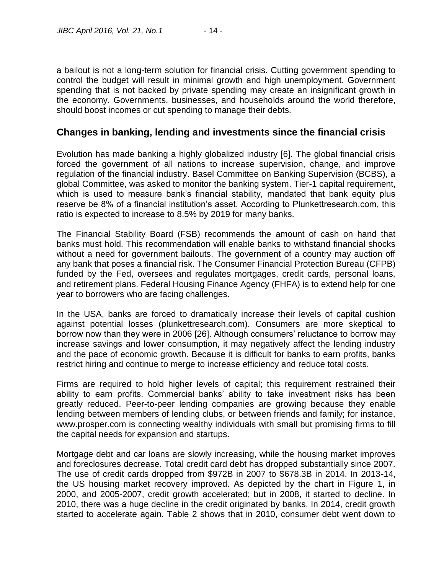a bailout is not a long-term solution for financial crisis. Cutting government spending to control the budget will result in minimal growth and high unemployment. Government spending that is not backed by private spending may create an insignificant growth in the economy. Governments, businesses, and households around the world therefore, should boost incomes or cut spending to manage their debts.

#### **Changes in banking, lending and investments since the financial crisis**

Evolution has made banking a highly globalized industry [6]. The global financial crisis forced the government of all nations to increase supervision, change, and improve regulation of the financial industry. Basel Committee on Banking Supervision (BCBS), a global Committee, was asked to monitor the banking system. Tier-1 capital requirement, which is used to measure bank's financial stability, mandated that bank equity plus reserve be 8% of a financial institution's asset. According to Plunkettresearch.com, this ratio is expected to increase to 8.5% by 2019 for many banks.

The Financial Stability Board (FSB) recommends the amount of cash on hand that banks must hold. This recommendation will enable banks to withstand financial shocks without a need for government bailouts. The government of a country may auction off any bank that poses a financial risk. The Consumer Financial Protection Bureau (CFPB) funded by the Fed, oversees and regulates mortgages, credit cards, personal loans, and retirement plans. Federal Housing Finance Agency (FHFA) is to extend help for one year to borrowers who are facing challenges.

In the USA, banks are forced to dramatically increase their levels of capital cushion against potential losses (plunkettresearch.com). Consumers are more skeptical to borrow now than they were in 2006 [26]. Although consumers' reluctance to borrow may increase savings and lower consumption, it may negatively affect the lending industry and the pace of economic growth. Because it is difficult for banks to earn profits, banks restrict hiring and continue to merge to increase efficiency and reduce total costs.

Firms are required to hold higher levels of capital; this requirement restrained their ability to earn profits. Commercial banks' ability to take investment risks has been greatly reduced. Peer-to-peer lending companies are growing because they enable lending between members of lending clubs, or between friends and family; for instance, www.prosper.com is connecting wealthy individuals with small but promising firms to fill the capital needs for expansion and startups.

Mortgage debt and car loans are slowly increasing, while the housing market improves and foreclosures decrease. Total credit card debt has dropped substantially since 2007. The use of credit cards dropped from \$972B in 2007 to \$678.3B in 2014. In 2013-14, the US housing market recovery improved. As depicted by the chart in Figure 1, in 2000, and 2005-2007, credit growth accelerated; but in 2008, it started to decline. In 2010, there was a huge decline in the credit originated by banks. In 2014, credit growth started to accelerate again. Table 2 shows that in 2010, consumer debt went down to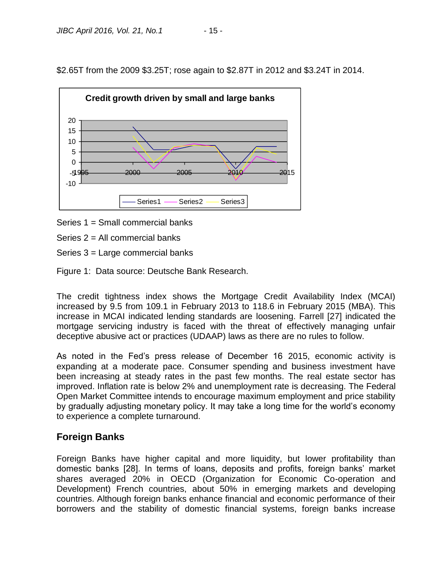\$2.65T from the 2009 \$3.25T; rose again to \$2.87T in 2012 and \$3.24T in 2014.



Series 1 = Small commercial banks

Series 2 = All commercial banks

Series 3 = Large commercial banks

Figure 1: Data source: Deutsche Bank Research.

The credit tightness index shows the Mortgage Credit Availability Index (MCAI) increased by 9.5 from 109.1 in February 2013 to 118.6 in February 2015 (MBA). This increase in MCAI indicated lending standards are loosening. Farrell [27] indicated the mortgage servicing industry is faced with the threat of effectively managing unfair deceptive abusive act or practices (UDAAP) laws as there are no rules to follow.

As noted in the Fed's press release of December 16 2015, economic activity is expanding at a moderate pace. Consumer spending and business investment have been increasing at steady rates in the past few months. The real estate sector has improved. Inflation rate is below 2% and unemployment rate is decreasing. The Federal Open Market Committee intends to encourage maximum employment and price stability by gradually adjusting monetary policy. It may take a long time for the world's economy to experience a complete turnaround.

#### **Foreign Banks**

Foreign Banks have higher capital and more liquidity, but lower profitability than domestic banks [28]. In terms of loans, deposits and profits, foreign banks' market shares averaged 20% in OECD (Organization for Economic Co-operation and Development) French countries, about 50% in emerging markets and developing countries. Although foreign banks enhance financial and economic performance of their borrowers and the stability of domestic financial systems, foreign banks increase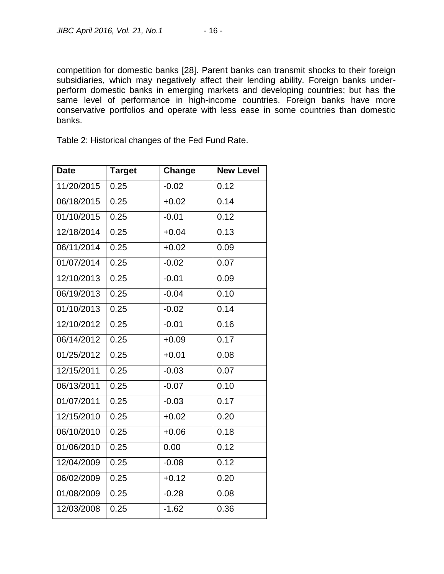competition for domestic banks [28]. Parent banks can transmit shocks to their foreign subsidiaries, which may negatively affect their lending ability. Foreign banks underperform domestic banks in emerging markets and developing countries; but has the same level of performance in high-income countries. Foreign banks have more conservative portfolios and operate with less ease in some countries than domestic banks.

Table 2: Historical changes of the Fed Fund Rate.

| <b>Date</b> | <b>Target</b> | Change  | <b>New Level</b> |
|-------------|---------------|---------|------------------|
| 11/20/2015  | 0.25          | $-0.02$ | 0.12             |
| 06/18/2015  | 0.25          | $+0.02$ | 0.14             |
| 01/10/2015  | 0.25          | $-0.01$ | 0.12             |
| 12/18/2014  | 0.25          | $+0.04$ | 0.13             |
| 06/11/2014  | 0.25          | $+0.02$ | 0.09             |
| 01/07/2014  | 0.25          | $-0.02$ | 0.07             |
| 12/10/2013  | 0.25          | $-0.01$ | 0.09             |
| 06/19/2013  | 0.25          | $-0.04$ | 0.10             |
| 01/10/2013  | 0.25          | $-0.02$ | 0.14             |
| 12/10/2012  | 0.25          | $-0.01$ | 0.16             |
| 06/14/2012  | 0.25          | $+0.09$ | 0.17             |
| 01/25/2012  | 0.25          | $+0.01$ | 0.08             |
| 12/15/2011  | 0.25          | $-0.03$ | 0.07             |
| 06/13/2011  | 0.25          | $-0.07$ | 0.10             |
| 01/07/2011  | 0.25          | $-0.03$ | 0.17             |
| 12/15/2010  | 0.25          | $+0.02$ | 0.20             |
| 06/10/2010  | 0.25          | $+0.06$ | 0.18             |
| 01/06/2010  | 0.25          | 0.00    | 0.12             |
| 12/04/2009  | 0.25          | $-0.08$ | 0.12             |
| 06/02/2009  | 0.25          | $+0.12$ | 0.20             |
| 01/08/2009  | 0.25          | $-0.28$ | 0.08             |
| 12/03/2008  | 0.25          | $-1.62$ | 0.36             |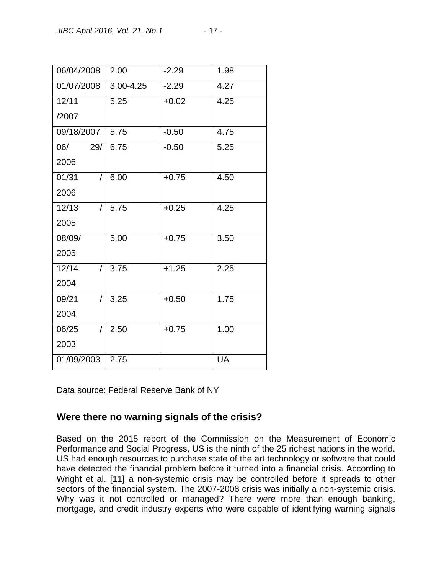| 06/04/2008 |          | 2.00          | $-2.29$ | 1.98      |
|------------|----------|---------------|---------|-----------|
| 01/07/2008 |          | $3.00 - 4.25$ | $-2.29$ | 4.27      |
| 12/11      |          | 5.25          | $+0.02$ | 4.25      |
| /2007      |          |               |         |           |
| 09/18/2007 |          | 5.75          | $-0.50$ | 4.75      |
| 06/        | 29/      | 6.75          | $-0.50$ | 5.25      |
| 2006       |          |               |         |           |
| 01/31      | $\prime$ | 6.00          | $+0.75$ | 4.50      |
| 2006       |          |               |         |           |
| 12/13      | $\prime$ | 5.75          | $+0.25$ | 4.25      |
| 2005       |          |               |         |           |
| 08/09/     |          | 5.00          | $+0.75$ | 3.50      |
| 2005       |          |               |         |           |
| 12/14      | $\prime$ | 3.75          | $+1.25$ | 2.25      |
| 2004       |          |               |         |           |
| 09/21      | T        | 3.25          | $+0.50$ | 1.75      |
| 2004       |          |               |         |           |
| 06/25      | $\prime$ | 2.50          | $+0.75$ | 1.00      |
| 2003       |          |               |         |           |
| 01/09/2003 |          | 2.75          |         | <b>UA</b> |

Data source: Federal Reserve Bank of NY

## **Were there no warning signals of the crisis?**

Based on the 2015 report of the Commission on the Measurement of Economic Performance and Social Progress, US is the ninth of the 25 richest nations in the world. US had enough resources to purchase state of the art technology or software that could have detected the financial problem before it turned into a financial crisis. According to Wright et al. [11] a non-systemic crisis may be controlled before it spreads to other sectors of the financial system. The 2007-2008 crisis was initially a non-systemic crisis. Why was it not controlled or managed? There were more than enough banking, mortgage, and credit industry experts who were capable of identifying warning signals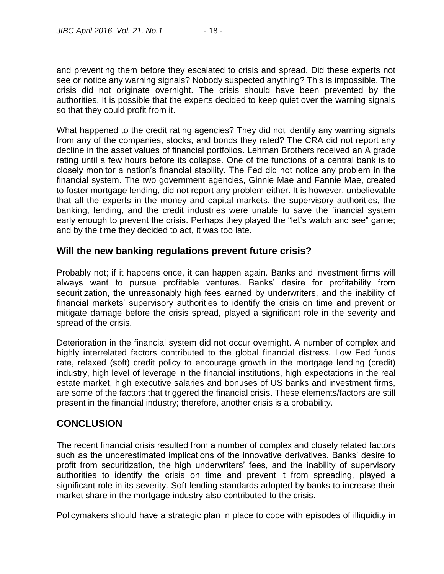and preventing them before they escalated to crisis and spread. Did these experts not see or notice any warning signals? Nobody suspected anything? This is impossible. The crisis did not originate overnight. The crisis should have been prevented by the authorities. It is possible that the experts decided to keep quiet over the warning signals so that they could profit from it.

What happened to the credit rating agencies? They did not identify any warning signals from any of the companies, stocks, and bonds they rated? The CRA did not report any decline in the asset values of financial portfolios. Lehman Brothers received an A grade rating until a few hours before its collapse. One of the functions of a central bank is to closely monitor a nation's financial stability. The Fed did not notice any problem in the financial system. The two government agencies, Ginnie Mae and Fannie Mae, created to foster mortgage lending, did not report any problem either. It is however, unbelievable that all the experts in the money and capital markets, the supervisory authorities, the banking, lending, and the credit industries were unable to save the financial system early enough to prevent the crisis. Perhaps they played the "let's watch and see" game; and by the time they decided to act, it was too late.

#### **Will the new banking regulations prevent future crisis?**

Probably not; if it happens once, it can happen again. Banks and investment firms will always want to pursue profitable ventures. Banks' desire for profitability from securitization, the unreasonably high fees earned by underwriters, and the inability of financial markets' supervisory authorities to identify the crisis on time and prevent or mitigate damage before the crisis spread, played a significant role in the severity and spread of the crisis.

Deterioration in the financial system did not occur overnight. A number of complex and highly interrelated factors contributed to the global financial distress. Low Fed funds rate, relaxed (soft) credit policy to encourage growth in the mortgage lending (credit) industry, high level of leverage in the financial institutions, high expectations in the real estate market, high executive salaries and bonuses of US banks and investment firms, are some of the factors that triggered the financial crisis. These elements/factors are still present in the financial industry; therefore, another crisis is a probability.

#### **CONCLUSION**

The recent financial crisis resulted from a number of complex and closely related factors such as the underestimated implications of the innovative derivatives. Banks' desire to profit from securitization, the high underwriters' fees, and the inability of supervisory authorities to identify the crisis on time and prevent it from spreading, played a significant role in its severity. Soft lending standards adopted by banks to increase their market share in the mortgage industry also contributed to the crisis.

Policymakers should have a strategic plan in place to cope with episodes of illiquidity in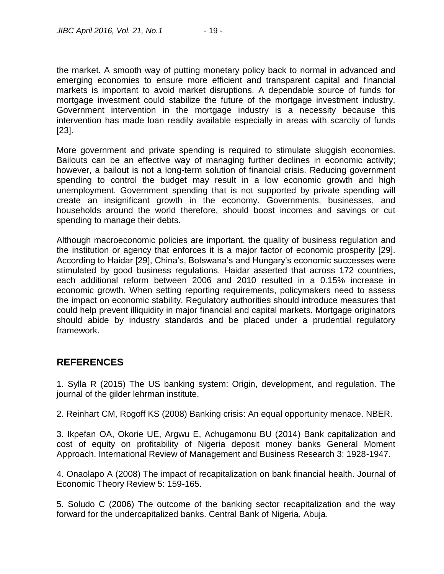the market. A smooth way of putting monetary policy back to normal in advanced and emerging economies to ensure more efficient and transparent capital and financial markets is important to avoid market disruptions. A dependable source of funds for mortgage investment could stabilize the future of the mortgage investment industry. Government intervention in the mortgage industry is a necessity because this intervention has made loan readily available especially in areas with scarcity of funds [23].

More government and private spending is required to stimulate sluggish economies. Bailouts can be an effective way of managing further declines in economic activity; however, a bailout is not a long-term solution of financial crisis. Reducing government spending to control the budget may result in a low economic growth and high unemployment. Government spending that is not supported by private spending will create an insignificant growth in the economy. Governments, businesses, and households around the world therefore, should boost incomes and savings or cut spending to manage their debts.

Although macroeconomic policies are important, the quality of business regulation and the institution or agency that enforces it is a major factor of economic prosperity [29]. According to Haidar [29], China's, Botswana's and Hungary's economic successes were stimulated by good business regulations. Haidar asserted that across 172 countries, each additional reform between 2006 and 2010 resulted in a 0.15% increase in economic growth. When setting reporting requirements, policymakers need to assess the impact on economic stability. Regulatory authorities should introduce measures that could help prevent illiquidity in major financial and capital markets. Mortgage originators should abide by industry standards and be placed under a prudential regulatory framework.

## **REFERENCES**

1. Sylla R (2015) The US banking system: Origin, development, and regulation. The journal of the gilder lehrman institute.

2. Reinhart CM, Rogoff KS (2008) Banking crisis: An equal opportunity menace. NBER.

3. Ikpefan OA, Okorie UE, Argwu E, Achugamonu BU (2014) Bank capitalization and cost of equity on profitability of Nigeria deposit money banks General Moment Approach. International Review of Management and Business Research 3: 1928-1947.

4. Onaolapo A (2008) The impact of recapitalization on bank financial health. Journal of Economic Theory Review 5: 159-165.

5. Soludo C (2006) The outcome of the banking sector recapitalization and the way forward for the undercapitalized banks. Central Bank of Nigeria, Abuja.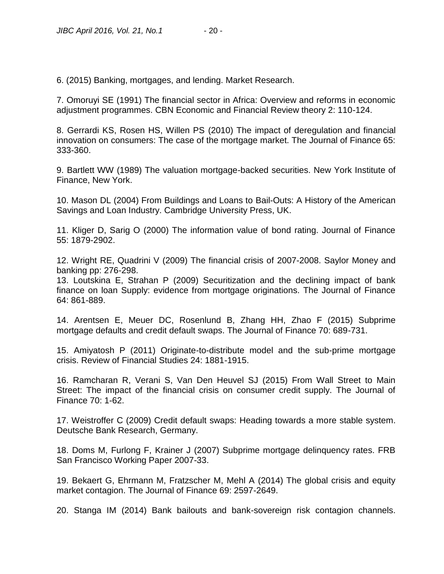6. (2015) Banking, mortgages, and lending. Market Research.

7. Omoruyi SE (1991) The financial sector in Africa: Overview and reforms in economic adjustment programmes. CBN Economic and Financial Review theory 2: 110-124.

8. Gerrardi KS, Rosen HS, Willen PS (2010) The impact of deregulation and financial innovation on consumers: The case of the mortgage market. The Journal of Finance 65: 333-360.

9. Bartlett WW (1989) The valuation mortgage-backed securities. New York Institute of Finance, New York.

10. Mason DL (2004) From Buildings and Loans to Bail-Outs: A History of the American Savings and Loan Industry. Cambridge University Press, UK.

11. Kliger D, Sarig O (2000) The information value of bond rating. Journal of Finance 55: 1879-2902.

12. Wright RE, Quadrini V (2009) The financial crisis of 2007-2008. Saylor Money and banking pp: 276-298.

13. Loutskina E, Strahan P (2009) Securitization and the declining impact of bank finance on loan Supply: evidence from mortgage originations. The Journal of Finance 64: 861-889.

14. Arentsen E, Meuer DC, Rosenlund B, Zhang HH, Zhao F (2015) Subprime mortgage defaults and credit default swaps. The Journal of Finance 70: 689-731.

15. Amiyatosh P (2011) Originate-to-distribute model and the sub-prime mortgage crisis. Review of Financial Studies 24: 1881-1915.

16. Ramcharan R, Verani S, Van Den Heuvel SJ (2015) From Wall Street to Main Street: The impact of the financial crisis on consumer credit supply. The Journal of Finance 70: 1-62.

17. Weistroffer C (2009) Credit default swaps: Heading towards a more stable system. Deutsche Bank Research, Germany.

18. Doms M, Furlong F, Krainer J (2007) Subprime mortgage delinquency rates. FRB San Francisco Working Paper 2007-33.

19. Bekaert G, Ehrmann M, Fratzscher M, Mehl A (2014) The global crisis and equity market contagion. The Journal of Finance 69: 2597-2649.

20. Stanga IM (2014) Bank bailouts and bank-sovereign risk contagion channels.